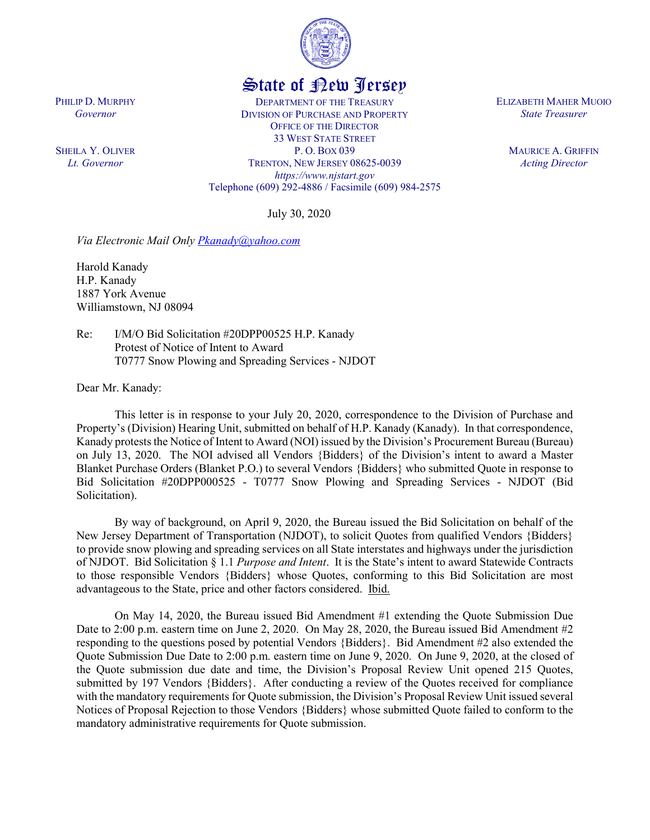

## State of New Jersey

DEPARTMENT OF THE TREASURY DIVISION OF PURCHASE AND PROPERTY OFFICE OF THE DIRECTOR 33 WEST STATE STREET P. O. BOX 039 TRENTON, NEW JERSEY 08625-0039 *https://www.njstart.gov* Telephone (609) 292-4886 / Facsimile (609) 984-2575

July 30, 2020

*Via Electronic Mail Only [Pkanady@yahoo.com](mailto:Pkanady@yahoo.com)*

Harold Kanady H.P. Kanady 1887 York Avenue Williamstown, NJ 08094

PHILIP D. MURPHY *Governor*

SHEILA Y. OLIVER *Lt. Governor*

> Re: I/M/O Bid Solicitation #20DPP00525 H.P. Kanady Protest of Notice of Intent to Award T0777 Snow Plowing and Spreading Services - NJDOT

Dear Mr. Kanady:

This letter is in response to your July 20, 2020, correspondence to the Division of Purchase and Property's (Division) Hearing Unit, submitted on behalf of H.P. Kanady (Kanady). In that correspondence, Kanady protests the Notice of Intent to Award (NOI) issued by the Division's Procurement Bureau (Bureau) on July 13, 2020. The NOI advised all Vendors {Bidders} of the Division's intent to award a Master Blanket Purchase Orders (Blanket P.O.) to several Vendors {Bidders} who submitted Quote in response to Bid Solicitation #20DPP000525 - T0777 Snow Plowing and Spreading Services - NJDOT (Bid Solicitation).

By way of background, on April 9, 2020, the Bureau issued the Bid Solicitation on behalf of the New Jersey Department of Transportation (NJDOT), to solicit Quotes from qualified Vendors {Bidders} to provide snow plowing and spreading services on all State interstates and highways under the jurisdiction of NJDOT. Bid Solicitation § 1.1 *Purpose and Intent*. It is the State's intent to award Statewide Contracts to those responsible Vendors {Bidders} whose Quotes, conforming to this Bid Solicitation are most advantageous to the State, price and other factors considered. Ibid.

On May 14, 2020, the Bureau issued Bid Amendment #1 extending the Quote Submission Due Date to 2:00 p.m. eastern time on June 2, 2020. On May 28, 2020, the Bureau issued Bid Amendment #2 responding to the questions posed by potential Vendors {Bidders}. Bid Amendment #2 also extended the Quote Submission Due Date to 2:00 p.m. eastern time on June 9, 2020. On June 9, 2020, at the closed of the Quote submission due date and time, the Division's Proposal Review Unit opened 215 Quotes, submitted by 197 Vendors {Bidders}. After conducting a review of the Quotes received for compliance with the mandatory requirements for Quote submission, the Division's Proposal Review Unit issued several Notices of Proposal Rejection to those Vendors {Bidders} whose submitted Quote failed to conform to the mandatory administrative requirements for Quote submission.

ELIZABETH MAHER MUOIO *State Treasurer*

> MAURICE A. GRIFFIN *Acting Director*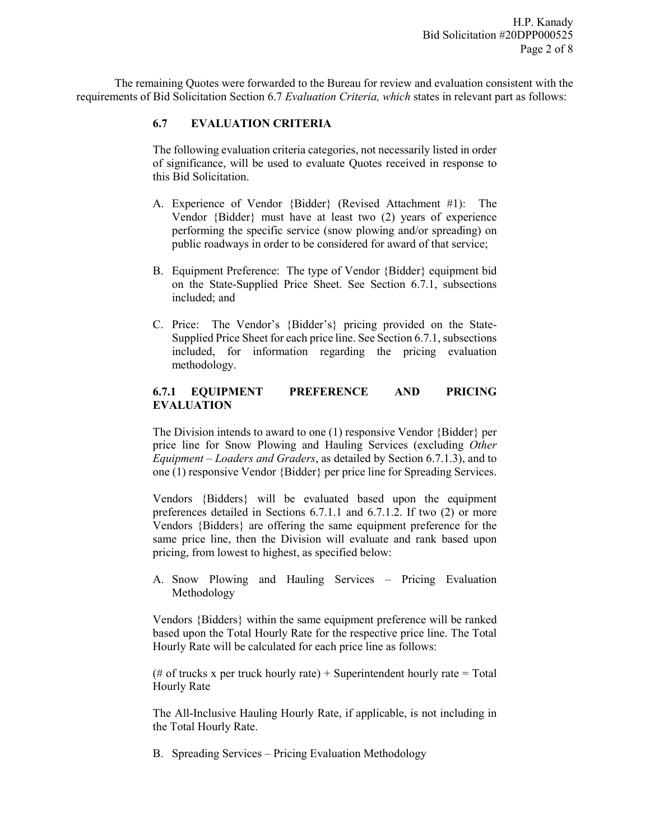The remaining Quotes were forwarded to the Bureau for review and evaluation consistent with the requirements of Bid Solicitation Section 6.7 *Evaluation Criteria, which* states in relevant part as follows:

## **6.7 EVALUATION CRITERIA**

The following evaluation criteria categories, not necessarily listed in order of significance, will be used to evaluate Quotes received in response to this Bid Solicitation.

- A. Experience of Vendor {Bidder} (Revised Attachment #1): The Vendor {Bidder} must have at least two (2) years of experience performing the specific service (snow plowing and/or spreading) on public roadways in order to be considered for award of that service;
- B. Equipment Preference: The type of Vendor {Bidder} equipment bid on the State-Supplied Price Sheet. See Section 6.7.1, subsections included; and
- C. Price: The Vendor's {Bidder's} pricing provided on the State-Supplied Price Sheet for each price line. See Section 6.7.1, subsections included, for information regarding the pricing evaluation methodology.

## **6.7.1 EQUIPMENT PREFERENCE AND PRICING EVALUATION**

The Division intends to award to one (1) responsive Vendor {Bidder} per price line for Snow Plowing and Hauling Services (excluding *Other Equipment – Loaders and Graders*, as detailed by Section 6.7.1.3), and to one (1) responsive Vendor {Bidder} per price line for Spreading Services.

Vendors {Bidders} will be evaluated based upon the equipment preferences detailed in Sections 6.7.1.1 and 6.7.1.2. If two (2) or more Vendors {Bidders} are offering the same equipment preference for the same price line, then the Division will evaluate and rank based upon pricing, from lowest to highest, as specified below:

A. Snow Plowing and Hauling Services – Pricing Evaluation Methodology

Vendors {Bidders} within the same equipment preference will be ranked based upon the Total Hourly Rate for the respective price line. The Total Hourly Rate will be calculated for each price line as follows:

(# of trucks x per truck hourly rate) + Superintendent hourly rate = Total Hourly Rate

The All-Inclusive Hauling Hourly Rate, if applicable, is not including in the Total Hourly Rate.

B. Spreading Services – Pricing Evaluation Methodology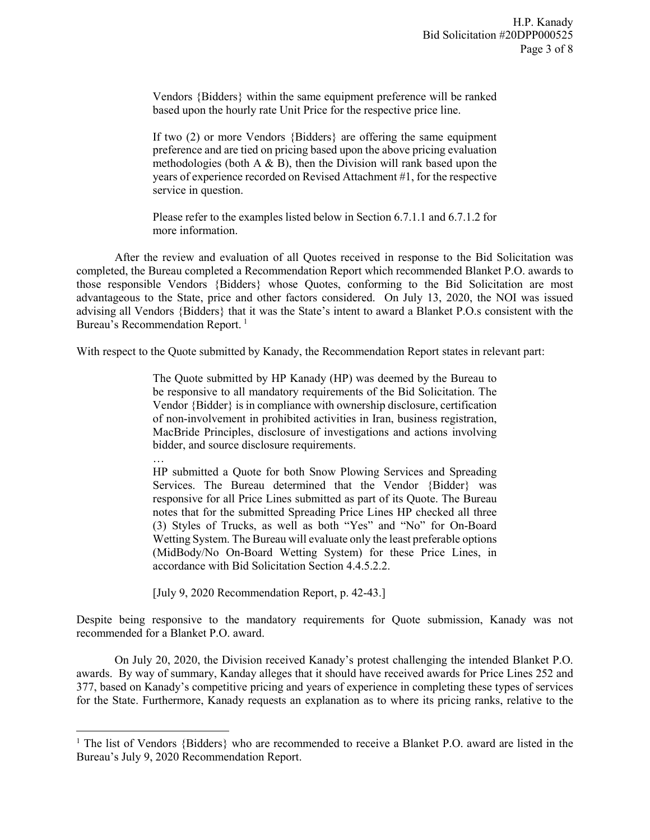Vendors {Bidders} within the same equipment preference will be ranked based upon the hourly rate Unit Price for the respective price line.

If two (2) or more Vendors {Bidders} are offering the same equipment preference and are tied on pricing based upon the above pricing evaluation methodologies (both  $A \& B$ ), then the Division will rank based upon the years of experience recorded on Revised Attachment #1, for the respective service in question.

Please refer to the examples listed below in Section 6.7.1.1 and 6.7.1.2 for more information.

After the review and evaluation of all Quotes received in response to the Bid Solicitation was completed, the Bureau completed a Recommendation Report which recommended Blanket P.O. awards to those responsible Vendors {Bidders} whose Quotes, conforming to the Bid Solicitation are most advantageous to the State, price and other factors considered. On July 13, 2020, the NOI was issued advising all Vendors {Bidders} that it was the State's intent to award a Blanket P.O.s consistent with the Bureau's Recommendation Report.<sup>[1](#page-2-0)</sup>

With respect to the Quote submitted by Kanady, the Recommendation Report states in relevant part:

The Quote submitted by HP Kanady (HP) was deemed by the Bureau to be responsive to all mandatory requirements of the Bid Solicitation. The Vendor {Bidder} is in compliance with ownership disclosure, certification of non-involvement in prohibited activities in Iran, business registration, MacBride Principles, disclosure of investigations and actions involving bidder, and source disclosure requirements.

… HP submitted a Quote for both Snow Plowing Services and Spreading Services. The Bureau determined that the Vendor {Bidder} was responsive for all Price Lines submitted as part of its Quote. The Bureau notes that for the submitted Spreading Price Lines HP checked all three (3) Styles of Trucks, as well as both "Yes" and "No" for On-Board Wetting System. The Bureau will evaluate only the least preferable options (MidBody/No On-Board Wetting System) for these Price Lines, in accordance with Bid Solicitation Section 4.4.5.2.2.

[July 9, 2020 Recommendation Report, p. 42-43.]

l

Despite being responsive to the mandatory requirements for Quote submission, Kanady was not recommended for a Blanket P.O. award.

On July 20, 2020, the Division received Kanady's protest challenging the intended Blanket P.O. awards. By way of summary, Kanday alleges that it should have received awards for Price Lines 252 and 377, based on Kanady's competitive pricing and years of experience in completing these types of services for the State. Furthermore, Kanady requests an explanation as to where its pricing ranks, relative to the

<span id="page-2-0"></span><sup>&</sup>lt;sup>1</sup> The list of Vendors {Bidders} who are recommended to receive a Blanket P.O. award are listed in the Bureau's July 9, 2020 Recommendation Report.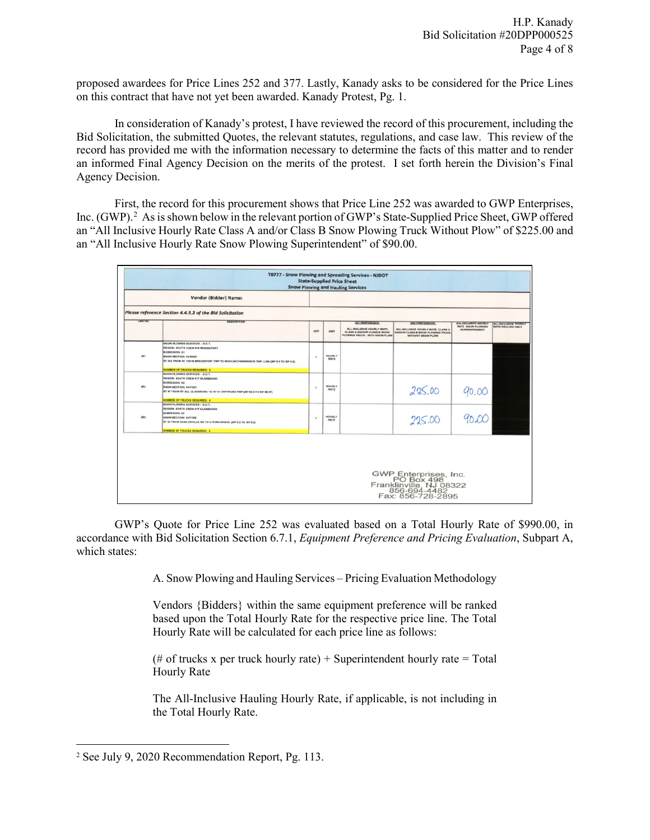proposed awardees for Price Lines 252 and 377. Lastly, Kanady asks to be considered for the Price Lines on this contract that have not yet been awarded. Kanady Protest, Pg. 1.

In consideration of Kanady's protest, I have reviewed the record of this procurement, including the Bid Solicitation, the submitted Quotes, the relevant statutes, regulations, and case law. This review of the record has provided me with the information necessary to determine the facts of this matter and to render an informed Final Agency Decision on the merits of the protest. I set forth herein the Division's Final Agency Decision.

First, the record for this procurement shows that Price Line 252 was awarded to GWP Enterprises, Inc. (GWP). [2](#page-3-0) As is shown below in the relevant portion of GWP's State-Supplied Price Sheet, GWP offered an "All Inclusive Hourly Rate Class A and/or Class B Snow Plowing Truck Without Plow" of \$225.00 and an "All Inclusive Hourly Rate Snow Plowing Superintendent" of \$90.00.

|                | Vendor {Bidder} Name:                                                                                                                                                                                         |              |                              |                                                                                             |                                                                                               |                                                   |                          |
|----------------|---------------------------------------------------------------------------------------------------------------------------------------------------------------------------------------------------------------|--------------|------------------------------|---------------------------------------------------------------------------------------------|-----------------------------------------------------------------------------------------------|---------------------------------------------------|--------------------------|
|                | Please reference Section 4.4.5.2 of the Bid Solicitation                                                                                                                                                      |              |                              |                                                                                             |                                                                                               |                                                   |                          |
| <b>LINE NO</b> | DEBCRIPTION                                                                                                                                                                                                   |              |                              | 15112-114 10-10-2                                                                           | <b>IND PRESENTATION</b>                                                                       | ALL-INCLUSIVE HOURLY                              | ALL-INCLUSIVE HOURLY     |
|                |                                                                                                                                                                                                               | GTY          | <b>UNIT</b>                  | ALL-INCLUSIVE HOURLY RATE:<br>CLASS A AND/OR CLASS B SNOW<br>PLOWING TRUCK - WITH SNOW PLOW | ALL-INCLUSIVE HOURLY RATE: CLASS A<br>AND/OR CLASS B SNOW PLOWING TRUCK.<br>WITHOUT SNOW PLOW | <b>RATE SNOW PLOWING</b><br><b>SUPERINTENDENT</b> | <b>RATE HAULING ONLY</b> |
| 251            | SNOW PLOWING SERVICES - D.O.T.<br>REGION: SOUTH CREW 418 BRIDGEPORT<br><b>SUBREGION: 51</b><br>BNOW SECTION: 5416263<br>RT 322 FROM RT 130 IN BRIDGEPORT TWP TO WOOLWICHMARRISON TWP. LINE (MP 2.1 TO MP 8.5) |              | <b>HOURLY</b><br><b>RATE</b> |                                                                                             |                                                                                               |                                                   |                          |
|                | NUMBER OF TRUCKS REQUIRED: 3<br><b>SNOW PLOWING SERVICES - D.O.T.</b>                                                                                                                                         |              |                              |                                                                                             |                                                                                               |                                                   |                          |
| 252            | REGION: SOUTH CREW 417 GLASSBORO<br><b>BUBREQION: 52</b><br><b>BNOW SECTION: 5417261</b><br>RT 47 FROM RT 322, GLASSBORO TO RT 41 DEPTFORD TWP (MP 62.3 TO MP 68.37)                                          | ٠            | <b>HOURLY</b><br>RATE        |                                                                                             | 225,00                                                                                        | 90.00                                             |                          |
|                | <b>NUMBER OF TRUCKS REQUIRED: 4</b>                                                                                                                                                                           |              |                              |                                                                                             |                                                                                               |                                                   |                          |
| 253            | SNOW PLOWING SERVICES - D.O.T.<br>REGION: SOUTH CREW 417 GLASSBORO<br><b>BUBREGION: 52</b><br><b>SNOW SECTION: 5417262</b><br>RT 42 FROM SIGKLERVILLE RD TO U-TURN SIGNAL (MP 0.0 TO MP 6.2)                  | $\mathbf{I}$ | <b>HOURLY</b><br><b>RATE</b> |                                                                                             | 225.00                                                                                        |                                                   |                          |
|                | <b>NUMBER OF TRUCKS REQUIRED: 4</b>                                                                                                                                                                           |              |                              |                                                                                             |                                                                                               |                                                   |                          |

GWP's Quote for Price Line 252 was evaluated based on a Total Hourly Rate of \$990.00, in accordance with Bid Solicitation Section 6.7.1, *Equipment Preference and Pricing Evaluation*, Subpart A, which states:

A. Snow Plowing and Hauling Services – Pricing Evaluation Methodology

Vendors {Bidders} within the same equipment preference will be ranked based upon the Total Hourly Rate for the respective price line. The Total Hourly Rate will be calculated for each price line as follows:

(# of trucks x per truck hourly rate) + Superintendent hourly rate = Total Hourly Rate

The All-Inclusive Hauling Hourly Rate, if applicable, is not including in the Total Hourly Rate.

l

<span id="page-3-0"></span><sup>2</sup> See July 9, 2020 Recommendation Report, Pg. 113.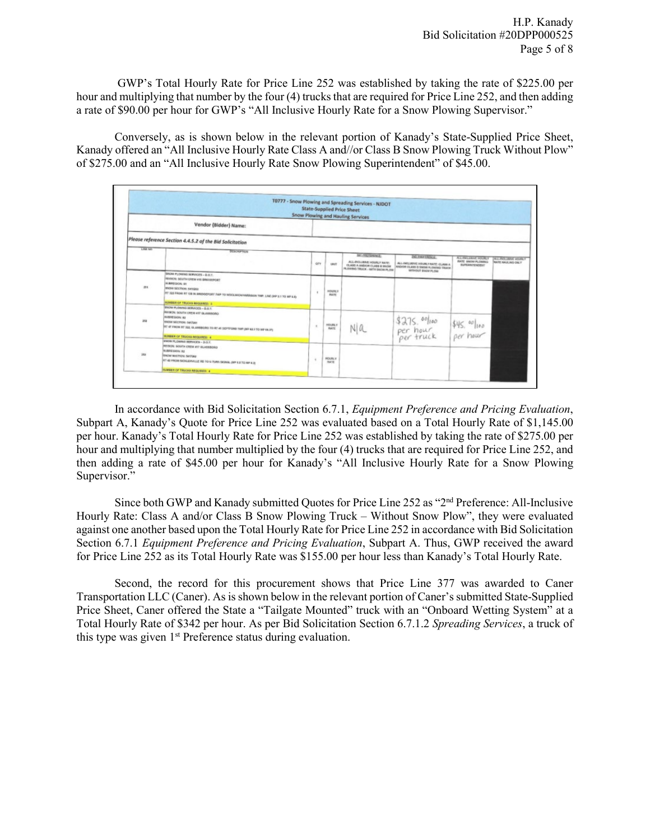GWP's Total Hourly Rate for Price Line 252 was established by taking the rate of \$225.00 per hour and multiplying that number by the four (4) trucks that are required for Price Line 252, and then adding a rate of \$90.00 per hour for GWP's "All Inclusive Hourly Rate for a Snow Plowing Supervisor."

Conversely, as is shown below in the relevant portion of Kanady's State-Supplied Price Sheet, Kanady offered an "All Inclusive Hourly Rate Class A and//or Class B Snow Plowing Truck Without Plow" of \$275.00 and an "All Inclusive Hourly Rate Snow Plowing Superintendent" of \$45.00.

|                |                                                                                                                                                                                                                                               |            |                              | T0777 - Snow Plowing and Spreading Services - NJDOT<br><b>State-Supplied Price Sheet</b><br><b>Snow Plowing and Hauling Services</b> |                                                                                                                         |                                                                           |                                                 |
|----------------|-----------------------------------------------------------------------------------------------------------------------------------------------------------------------------------------------------------------------------------------------|------------|------------------------------|--------------------------------------------------------------------------------------------------------------------------------------|-------------------------------------------------------------------------------------------------------------------------|---------------------------------------------------------------------------|-------------------------------------------------|
|                | Vendor {Bidder} Name:                                                                                                                                                                                                                         |            |                              |                                                                                                                                      |                                                                                                                         |                                                                           |                                                 |
|                | Please reference Section 4.4.5.2 of the Bid Solicitation                                                                                                                                                                                      |            |                              |                                                                                                                                      |                                                                                                                         |                                                                           |                                                 |
| <b>LAIR NO</b> | <b>DESCRIPTION</b>                                                                                                                                                                                                                            |            |                              |                                                                                                                                      |                                                                                                                         |                                                                           |                                                 |
|                |                                                                                                                                                                                                                                               | <b>QTY</b> | <b>UNIT</b>                  | <b>IST/TE/ENINGE</b><br>ALL-INCLUSIVE HOURLY NATE:<br>CLASS A ANDIOR CLASS IS SNOW<br>PLOWING TRUCK - NATH SNOW PLOW                 | <b>ZIG FIRETROICE:</b><br>ALL-INCLUSIVE VOLKEY RATE: CLASS A<br>AND/OR CLASS IS SNOW PLOWING TRACK<br>WITHOUT ENOW PLOW | ALL ENCLURINE FOURLY<br><b>DAVID SHOW PLOWING</b><br><b>BUREANTENDENT</b> | ALLINOL MAN HOUR Y<br><b>RATE HALK HIS ONLY</b> |
| 251            | SINON PLOWING SERVICES - B.O.Y.<br>REGION: SOUTH CREW 415 BROOKINGET<br><b>BLEVEDGON: SE</b><br><b>INOW SECTION: S415252</b><br>INT 322 FROM RT 139 IN AREDGEFORT TWP TO WOOLWICH-HARDISON TWP. LINE (MP 2.1 TO MP 8.8)                       |            | <b>HOUSEY</b><br><b>BATE</b> |                                                                                                                                      |                                                                                                                         |                                                                           |                                                 |
|                | <b>MUNISH OF TRUCKS REQUIRED. 3</b>                                                                                                                                                                                                           |            |                              |                                                                                                                                      |                                                                                                                         |                                                                           |                                                 |
| <b>SSE</b>     | <b>INOW PLOWING SERVICES - B.O.T.</b><br>PERSON: SOUTH CREW 417 GLASSBORO<br><b>BURREQUOY: 82</b><br>BMOW SECTION: 5417281<br>RT 47 FROM RT 322, GLASSBORO TO AT 41 DEPTFORE THP (MF 62.3 TO MP 68.31)<br><b>NUMBER OF TRACKS REQUIRED: 4</b> | $\alpha$   | HOURS V<br>mare.             | N a                                                                                                                                  | \$275.00/100<br>per hour<br>per truck per hour                                                                          |                                                                           |                                                 |
| 353            | <b><i>SNOW PLOWING REFINCES - D.O.T.</i></b><br>REDION: SOUTH CREW 417 III.ASSBORD<br><b>BUBREGION RZ</b><br><b>BROW RECTION: SANTING</b><br>RT 42 PROIS SICKLEPVILLE RD TO U TURN SIGNAL (MF E E TO MF 4.2)<br>VEMBER OF TRUCKS REQUIRED: 4  |            | <b>HOUSE, V</b><br>nate      |                                                                                                                                      |                                                                                                                         |                                                                           |                                                 |

In accordance with Bid Solicitation Section 6.7.1, *Equipment Preference and Pricing Evaluation*, Subpart A, Kanady's Quote for Price Line 252 was evaluated based on a Total Hourly Rate of \$1,145.00 per hour. Kanady's Total Hourly Rate for Price Line 252 was established by taking the rate of \$275.00 per hour and multiplying that number multiplied by the four (4) trucks that are required for Price Line 252, and then adding a rate of \$45.00 per hour for Kanady's "All Inclusive Hourly Rate for a Snow Plowing Supervisor."

Since both GWP and Kanady submitted Quotes for Price Line 252 as "2nd Preference: All-Inclusive Hourly Rate: Class A and/or Class B Snow Plowing Truck – Without Snow Plow", they were evaluated against one another based upon the Total Hourly Rate for Price Line 252 in accordance with Bid Solicitation Section 6.7.1 *Equipment Preference and Pricing Evaluation*, Subpart A. Thus, GWP received the award for Price Line 252 as its Total Hourly Rate was \$155.00 per hour less than Kanady's Total Hourly Rate.

Second, the record for this procurement shows that Price Line 377 was awarded to Caner Transportation LLC (Caner). As is shown below in the relevant portion of Caner's submitted State-Supplied Price Sheet, Caner offered the State a "Tailgate Mounted" truck with an "Onboard Wetting System" at a Total Hourly Rate of \$342 per hour. As per Bid Solicitation Section 6.7.1.2 *Spreading Services*, a truck of this type was given  $1<sup>st</sup>$  Preference status during evaluation.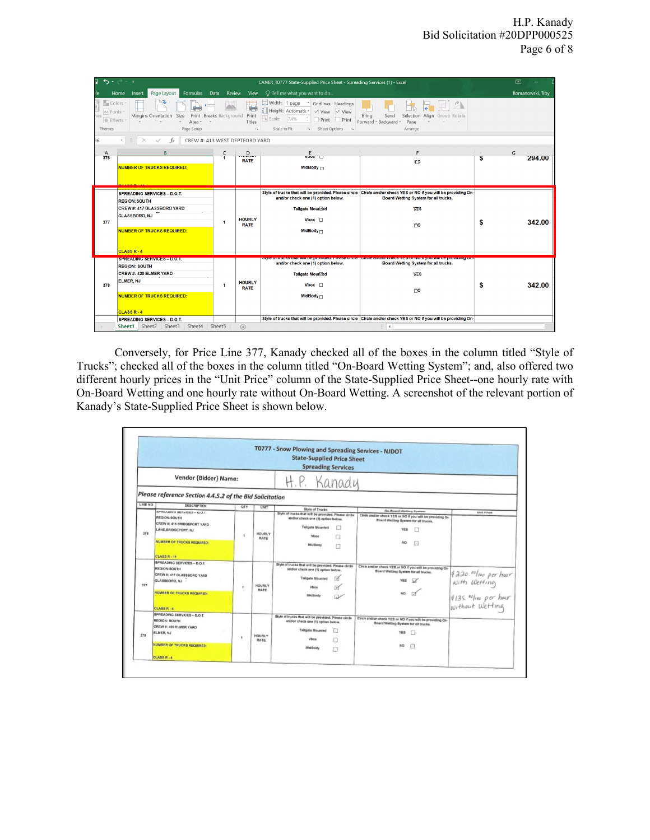|                                                               | ÷                                                                                                                                                                                                    |                      |                              | CANER T0777 State-Supplied Price Sheet - Spreading Services (1) - Excel                                                                                                                                    |                                                                                                                                                                                                                                                                                                             |    | 囨                |
|---------------------------------------------------------------|------------------------------------------------------------------------------------------------------------------------------------------------------------------------------------------------------|----------------------|------------------------------|------------------------------------------------------------------------------------------------------------------------------------------------------------------------------------------------------------|-------------------------------------------------------------------------------------------------------------------------------------------------------------------------------------------------------------------------------------------------------------------------------------------------------------|----|------------------|
| ile                                                           | Formulas<br>Page Layout<br>Home<br>Insert                                                                                                                                                            | Data<br>Review       | View                         | O Tell me what you want to do                                                                                                                                                                              |                                                                                                                                                                                                                                                                                                             |    | Romanowski, Troy |
| Colors<br>Aa Fonts<br>es<br>$\bullet$ Effects<br>Themes<br>96 | Print Breaks Background Print<br>Margins Orientation<br>Size<br>Area v<br>$\ddot{}$<br>Page Setup<br>fx<br>CREW #: 413 WEST DEPTFORD YARD                                                            |                      | 田<br>n H<br>Titles<br>Γý.    | Width: 1 page<br>Gridlines   Headings<br>Height: Automatic*<br>$\vee$ View $\vee$ View<br>$\Box_{\mathbf{k}}$ Scale:<br>74%<br>Print Print<br>Scale to Fit<br>Sheet Options 5<br>$\overline{\mathbb{F}_M}$ | Selection Align Group Rotate<br>Bring<br>Send<br>Forward - Backward -<br>Pane<br>Arrange                                                                                                                                                                                                                    |    |                  |
| A<br>376                                                      | $\overline{B}$<br><b>NUMBER OF TRUCKS REQUIRED:</b>                                                                                                                                                  | C<br>и               | D<br><b>RATE</b>             | E<br>VUVX<br>MidBody $\sqcap$                                                                                                                                                                              | F<br>$\mathbf{r}$                                                                                                                                                                                                                                                                                           | ъ  | G<br>294.00      |
| 377                                                           | <b>SPREADING SERVICES - D.O.T.</b><br><b>REGION: SOUTH</b><br><b>CREW #: 417 GLASSBORO YARD</b><br><b>GLASSBORO, NJ</b><br><b>NUMBER OF TRUCKS REQUIRED:</b><br>CLASS <sub>R-4</sub>                 | $\blacktriangleleft$ | <b>HOURLY</b><br><b>RATE</b> | and/or check one (1) option below.<br>Tailgate Mour Ped<br>Vbox $\Box$<br>MidBody $\sqcap$                                                                                                                 | Style of trucks that will be provided. Please circle Circle and/or check YES or NO if you will be providing On-<br>Board Wetting System for all trucks.<br><b>VES</b><br>$\Gamma$                                                                                                                           | \$ | 342.00           |
| 378                                                           | <b>SPREADING SERVICES - D.O.T.</b><br><b>REGION: SOUTH</b><br>CREW #: 420 ELMER YARD<br><b>ELMER, NJ</b><br><b>NUMBER OF TRUCKS REQUIRED:</b><br>CLASS <sub>R-4</sub><br>SPREADING SERVICES - D.O.T. | $\blacktriangleleft$ | <b>HOURLY</b><br><b>RATE</b> | and/or check one (1) option below.<br>Tailgate Mour<br>Vbox $\Box$<br>MidBody $\sqcap$                                                                                                                     | Style of trucks that will be provided. Please circle   Circle and/or check 1ES of NO if you will be providing On-<br>Board Wetting System for all trucks.<br><b>LES</b><br>$\mathsf{co}$<br>Style of trucks that will be provided. Please circle Circle and/or check YES or NO if you will be providing On- | S  | 342.00           |
|                                                               | Sheet2   Sheet3<br>Sheet4<br>Sheet1                                                                                                                                                                  | Sheet5               | $\bigoplus$                  |                                                                                                                                                                                                            | $\overline{4}$                                                                                                                                                                                                                                                                                              |    |                  |

Conversely, for Price Line 377, Kanady checked all of the boxes in the column titled "Style of Trucks"; checked all of the boxes in the column titled "On-Board Wetting System"; and, also offered two different hourly prices in the "Unit Price" column of the State-Supplied Price Sheet--one hourly rate with On-Board Wetting and one hourly rate without On-Board Wetting. A screenshot of the relevant portion of Kanady's State-Supplied Price Sheet is shown below.

|         |                                                                                                                                  |                      |                       | T0777 - Snow Plowing and Spreading Services - NJDOT<br><b>State-Supplied Price Sheet</b><br><b>Spreading Services</b>                                                     |                                                                                                                                                |                                                                                                            |
|---------|----------------------------------------------------------------------------------------------------------------------------------|----------------------|-----------------------|---------------------------------------------------------------------------------------------------------------------------------------------------------------------------|------------------------------------------------------------------------------------------------------------------------------------------------|------------------------------------------------------------------------------------------------------------|
|         | Vendor {Bidder} Name:                                                                                                            |                      |                       | H.P. Kanady                                                                                                                                                               |                                                                                                                                                |                                                                                                            |
| LINE NO | Please reference Section 4.4.5.2 of the Bid Solicitation                                                                         |                      |                       |                                                                                                                                                                           |                                                                                                                                                |                                                                                                            |
|         | DESCRIPTION                                                                                                                      | OTY                  | UNIT                  | Style of Trucks                                                                                                                                                           | <b>On-Board Wetting System</b>                                                                                                                 |                                                                                                            |
| 376     | SPREADING SERVICES - D.O.T.<br>REGION: SOUTH<br>CREW #: 416 BRIDGEPORT YARD<br>LANE,BRIDGEPORT, NJ<br>NUMBER OF TRUCKS REQUIRED: | $\ddot{\phantom{1}}$ | HOURLY<br>RATE        | Style of trucks that will be provided. Please circle<br>andfor check one (1) option below.<br><b>Tailgate Mounted</b><br>□<br><b>Vibios</b><br>п<br><b><i>WidBody</i></b> | Circle and/or check YES or NO if you will be providing On-<br><b>Board Wetting System for all trucks.</b><br>YES.<br>л<br>NO <sub>1</sub><br>п | Unit Priza                                                                                                 |
|         | <b>CLASS R - 11</b>                                                                                                              |                      |                       |                                                                                                                                                                           |                                                                                                                                                |                                                                                                            |
| 377     | SPREADING SERVICES - D.O.T.<br>REGION: SOUTH<br>CREW #: 417 GLASSBORO YARD<br>GLASSBORO, NJ<br>NUMBER OF TRUCKS REQUIRED:        | ٠                    | HIQUIRE.V<br>RATE     | Style of trucks that will be provided. Please circle<br>and/or check one (1) option below.<br><b>Tailgate Mounted</b><br><b>Visna</b>                                     | Circle and/or check YES or NO If you will be providing On-<br>Board Wetting System for all trucks.<br><b>YES</b>                               | <i>4220.00   no per hour</i><br>  Nith Wetting<br>  4135. <sup>00</sup>   no per hour<br>  Nithout Wetting |
|         | CLASS R - 4                                                                                                                      |                      |                       |                                                                                                                                                                           | <b>MidBody</b>                                                                                                                                 |                                                                                                            |
| 378     | SPREADING SERVICES - D.O.T.<br>REGION: BOUTH<br>CREW #: 420 ELMER YARD<br>ELMER, NJ<br>NUMBER OF TRUCKS REQUIRED:                | ٠                    | <b>HOURLY</b><br>RATE | Style of trucks that will be provided. Please circle<br>and/or check one (1) option below.<br><b>Tailgate Mounted</b><br>п<br><b>Vibra</b><br>п<br>WidBody                | Circle and/or check YES or NO if you will be providing On-<br>Board Wetting System for all trucks.<br><b>YES</b><br>o<br>NO.<br>n              |                                                                                                            |
|         | <b>CLASS R . 4</b>                                                                                                               |                      |                       |                                                                                                                                                                           | $\Box$                                                                                                                                         |                                                                                                            |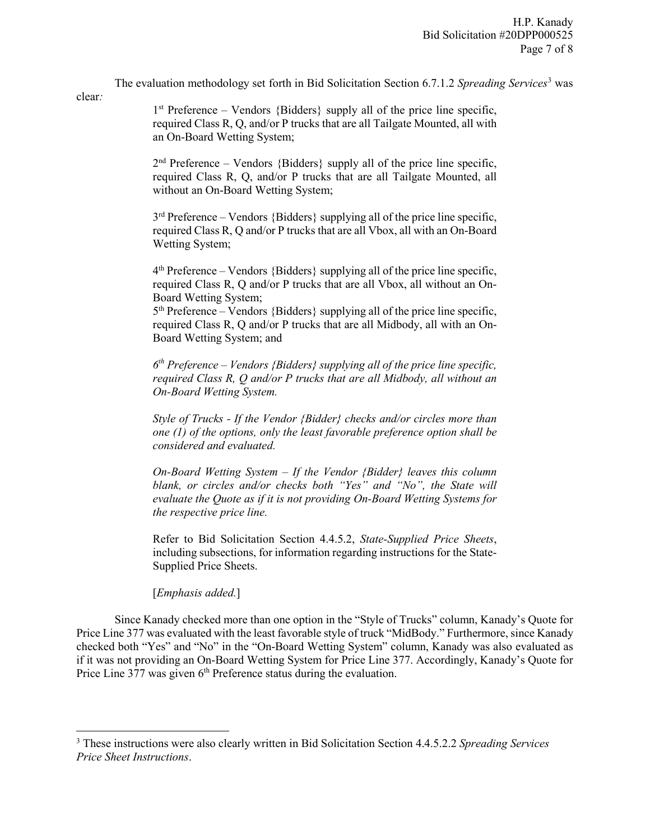The evaluation methodology set forth in Bid Solicitation Section 6.7.1.2 *Spreading Services*[3](#page-6-0) was

 $1<sup>st</sup>$  Preference – Vendors {Bidders} supply all of the price line specific, required Class R, Q, and/or P trucks that are all Tailgate Mounted, all with an On-Board Wetting System;

 $2<sup>nd</sup>$  Preference – Vendors {Bidders} supply all of the price line specific, required Class R, Q, and/or P trucks that are all Tailgate Mounted, all without an On-Board Wetting System;

 $3<sup>rd</sup>$  Preference – Vendors {Bidders} supplying all of the price line specific, required Class R, Q and/or P trucks that are all Vbox, all with an On-Board Wetting System;

 $4<sup>th</sup>$  Preference – Vendors {Bidders} supplying all of the price line specific, required Class R, Q and/or P trucks that are all Vbox, all without an On-Board Wetting System;

 $5<sup>th</sup>$  Preference – Vendors {Bidders} supplying all of the price line specific, required Class R, Q and/or P trucks that are all Midbody, all with an On-Board Wetting System; and

*6th Preference – Vendors {Bidders} supplying all of the price line specific, required Class R, Q and/or P trucks that are all Midbody, all without an On-Board Wetting System.* 

*Style of Trucks - If the Vendor {Bidder} checks and/or circles more than one (1) of the options, only the least favorable preference option shall be considered and evaluated.* 

*On-Board Wetting System – If the Vendor {Bidder} leaves this column blank, or circles and/or checks both "Yes" and "No", the State will evaluate the Quote as if it is not providing On-Board Wetting Systems for the respective price line.* 

Refer to Bid Solicitation Section 4.4.5.2, *State-Supplied Price Sheets*, including subsections, for information regarding instructions for the State-Supplied Price Sheets.

[*Emphasis added.*]

clear*:*

l

Since Kanady checked more than one option in the "Style of Trucks" column, Kanady's Quote for Price Line 377 was evaluated with the least favorable style of truck "MidBody." Furthermore, since Kanady checked both "Yes" and "No" in the "On-Board Wetting System" column, Kanady was also evaluated as if it was not providing an On-Board Wetting System for Price Line 377. Accordingly, Kanady's Quote for Price Line  $377$  was given  $6<sup>th</sup>$  Preference status during the evaluation.

<span id="page-6-0"></span><sup>3</sup> These instructions were also clearly written in Bid Solicitation Section 4.4.5.2.2 *Spreading Services Price Sheet Instructions*.